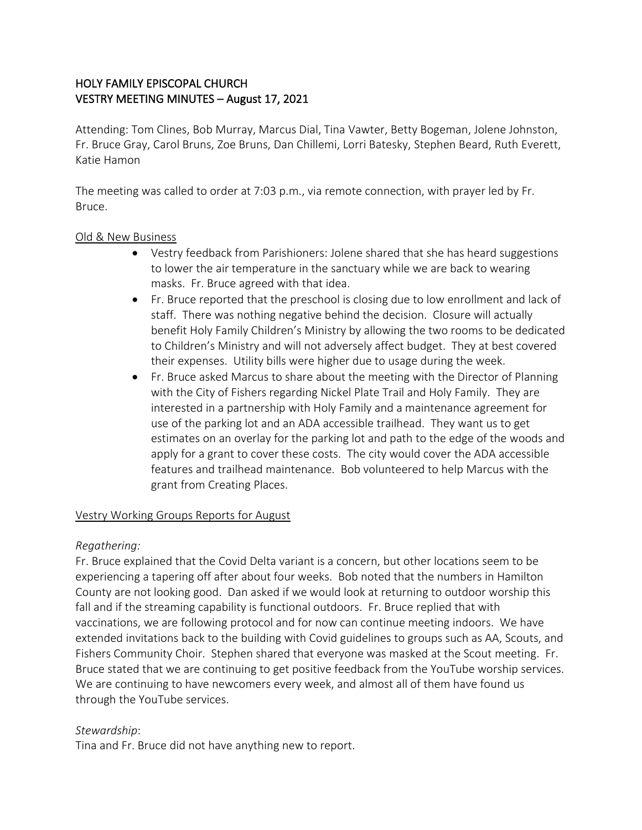# HOLY FAMILY EPISCOPAL CHURCH VESTRY MEETING MINUTES – August 17, 2021

Attending: Tom Clines, Bob Murray, Marcus Dial, Tina Vawter, Betty Bogeman, Jolene Johnston, Fr. Bruce Gray, Carol Bruns, Zoe Bruns, Dan Chillemi, Lorri Batesky, Stephen Beard, Ruth Everett, Katie Hamon

The meeting was called to order at 7:03 p.m., via remote connection, with prayer led by Fr. Bruce.

## Old & New Business

- Vestry feedback from Parishioners: Jolene shared that she has heard suggestions to lower the air temperature in the sanctuary while we are back to wearing masks. Fr. Bruce agreed with that idea.
- Fr. Bruce reported that the preschool is closing due to low enrollment and lack of staff. There was nothing negative behind the decision. Closure will actually benefit Holy Family Children's Ministry by allowing the two rooms to be dedicated to Children's Ministry and will not adversely affect budget. They at best covered their expenses. Utility bills were higher due to usage during the week.
- Fr. Bruce asked Marcus to share about the meeting with the Director of Planning with the City of Fishers regarding Nickel Plate Trail and Holy Family. They are interested in a partnership with Holy Family and a maintenance agreement for use of the parking lot and an ADA accessible trailhead. They want us to get estimates on an overlay for the parking lot and path to the edge of the woods and apply for a grant to cover these costs. The city would cover the ADA accessible features and trailhead maintenance. Bob volunteered to help Marcus with the grant from Creating Places.

# Vestry Working Groups Reports for August

## *Regathering:*

Fr. Bruce explained that the Covid Delta variant is a concern, but other locations seem to be experiencing a tapering off after about four weeks. Bob noted that the numbers in Hamilton County are not looking good. Dan asked if we would look at returning to outdoor worship this fall and if the streaming capability is functional outdoors. Fr. Bruce replied that with vaccinations, we are following protocol and for now can continue meeting indoors. We have extended invitations back to the building with Covid guidelines to groups such as AA, Scouts, and Fishers Community Choir. Stephen shared that everyone was masked at the Scout meeting. Fr. Bruce stated that we are continuing to get positive feedback from the YouTube worship services. We are continuing to have newcomers every week, and almost all of them have found us through the YouTube services.

## *Stewardship*:

Tina and Fr. Bruce did not have anything new to report.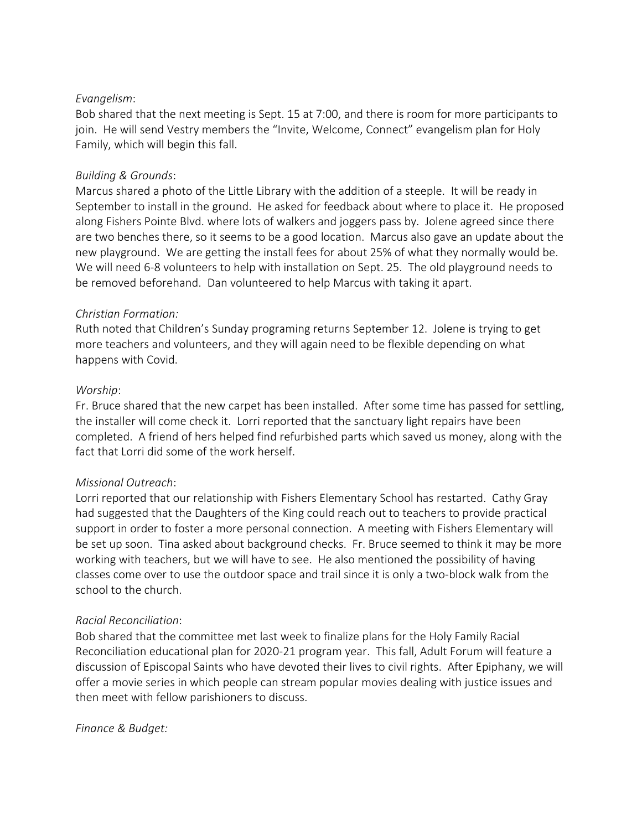### *Evangelism*:

Bob shared that the next meeting is Sept. 15 at 7:00, and there is room for more participants to join. He will send Vestry members the "Invite, Welcome, Connect" evangelism plan for Holy Family, which will begin this fall.

## *Building & Grounds*:

Marcus shared a photo of the Little Library with the addition of a steeple. It will be ready in September to install in the ground. He asked for feedback about where to place it. He proposed along Fishers Pointe Blvd. where lots of walkers and joggers pass by. Jolene agreed since there are two benches there, so it seems to be a good location. Marcus also gave an update about the new playground. We are getting the install fees for about 25% of what they normally would be. We will need 6-8 volunteers to help with installation on Sept. 25. The old playground needs to be removed beforehand. Dan volunteered to help Marcus with taking it apart.

## *Christian Formation:*

Ruth noted that Children's Sunday programing returns September 12. Jolene is trying to get more teachers and volunteers, and they will again need to be flexible depending on what happens with Covid.

## *Worship*:

Fr. Bruce shared that the new carpet has been installed. After some time has passed for settling, the installer will come check it. Lorri reported that the sanctuary light repairs have been completed. A friend of hers helped find refurbished parts which saved us money, along with the fact that Lorri did some of the work herself.

## *Missional Outreach*:

Lorri reported that our relationship with Fishers Elementary School has restarted. Cathy Gray had suggested that the Daughters of the King could reach out to teachers to provide practical support in order to foster a more personal connection. A meeting with Fishers Elementary will be set up soon. Tina asked about background checks. Fr. Bruce seemed to think it may be more working with teachers, but we will have to see. He also mentioned the possibility of having classes come over to use the outdoor space and trail since it is only a two-block walk from the school to the church.

## *Racial Reconciliation*:

Bob shared that the committee met last week to finalize plans for the Holy Family Racial Reconciliation educational plan for 2020-21 program year. This fall, Adult Forum will feature a discussion of Episcopal Saints who have devoted their lives to civil rights. After Epiphany, we will offer a movie series in which people can stream popular movies dealing with justice issues and then meet with fellow parishioners to discuss.

## *Finance & Budget:*